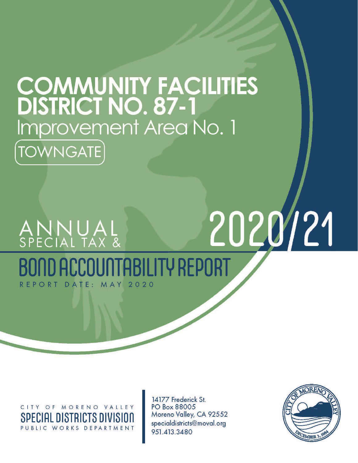# **COMMUNITY FACILITIES**<br>DISTRICT NO. 87-1 Improvement Area No. 1 **TOWNGATE**

## 2020/21 ANNUAL<br>special tax & **TARILITY REPORT** REPORT DATE: MAY  $2020$

CITY OF MORENO VALLEY SPECIAL DISTRICTS DIVISION PUBLIC WORKS DEPARTMENT

14177 Frederick St. PO Box 88005 Moreno Valley, CA 92552 specialdistricts@moval.org 951.413.3480

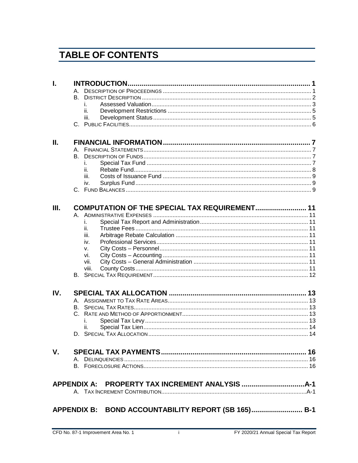## **TABLE OF CONTENTS**

| L   |                                                     |  |
|-----|-----------------------------------------------------|--|
|     |                                                     |  |
|     | <b>B.</b>                                           |  |
|     | İ.                                                  |  |
|     | ii.                                                 |  |
|     | iii.                                                |  |
|     |                                                     |  |
|     |                                                     |  |
| Ш.  |                                                     |  |
|     |                                                     |  |
|     | В.                                                  |  |
|     | İ.                                                  |  |
|     | ii.                                                 |  |
|     | iii.                                                |  |
|     | iv.                                                 |  |
|     |                                                     |  |
|     |                                                     |  |
| Ш.  | COMPUTATION OF THE SPECIAL TAX REQUIREMENT 11       |  |
|     |                                                     |  |
|     | İ.                                                  |  |
|     | ii.                                                 |  |
|     | iii.                                                |  |
|     | iv.                                                 |  |
|     | V.                                                  |  |
|     | vi.                                                 |  |
|     | vii.                                                |  |
|     | viii.                                               |  |
|     |                                                     |  |
|     |                                                     |  |
| IV. |                                                     |  |
|     | А.                                                  |  |
|     | В.                                                  |  |
|     |                                                     |  |
|     | L                                                   |  |
|     | ii.                                                 |  |
|     |                                                     |  |
|     |                                                     |  |
| V.  |                                                     |  |
|     |                                                     |  |
|     |                                                     |  |
|     |                                                     |  |
|     |                                                     |  |
|     |                                                     |  |
|     | APPENDIX B: BOND ACCOUNTABILITY REPORT (SB 165) B-1 |  |
|     |                                                     |  |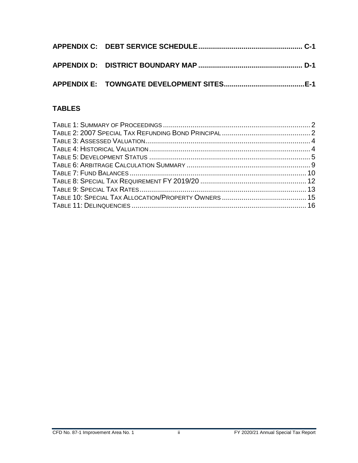## **TABLES**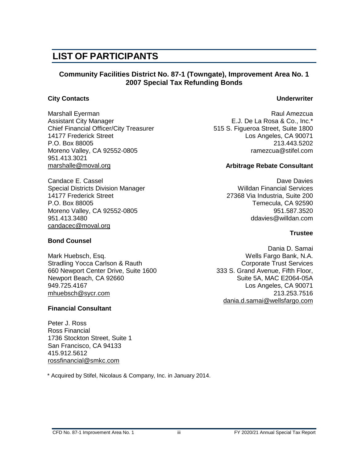## **LIST OF PARTICIPANTS**

#### **Community Facilities District No. 87-1 (Towngate), Improvement Area No. 1 2007 Special Tax Refunding Bonds**

#### **City Contacts Underwriter**

Marshall Eyerman **Raul Amezcua** Raul Amezcua Assistant City Manager E.J. De La Rosa & Co., Inc.\* Chief Financial Officer/City Treasurer 515 S. Figueroa Street, Suite 1800<br>14177 Frederick Street Los Angeles, CA 90071 P.O. Box 88005 213.443.5202 Moreno Valley, CA 92552-0805 **ramezcua@stifel.com** 951.413.3021 marshalle@moval.org **Arbitrage Rebate Consultant** 

Candace E. Cassel **David Candace E. Cassel** Candace Davies **David Candace Davies** Candace Davies **Davies** Special Districts Division Manager Willdan Financial Services 14177 Frederick Street 27368 Via Industria, Suite 200 Moreno Valley, CA 92552-0805 951.587.3520 951.413.3480 ddavies@willdan.com [candacec@moval.org](mailto:candacec@moval.org)

#### **Bond Counsel**

Mark Huebsch, Esq. Wells Fargo Bank, N.A. Stradling Yocca Carlson & Rauth Corporate Trust Services 660 Newport Center Drive, Suite 1600 333 S. Grand Avenue, Fifth Floor, Newport Beach, CA 92660 Suite 5A, MAC E2064-05A 949.725.4167 Los Angeles, CA 90071 [mhuebsch@sycr.com](mailto:mhuebsch@sycr.com) 213.253.7516

#### **Financial Consultant**

Peter J. Ross Ross Financial 1736 Stockton Street, Suite 1 San Francisco, CA 94133 415.912.5612 [rossfinancial@smkc.com](mailto:rossfinancial@smkc.com)

\* Acquired by Stifel, Nicolaus & Company, Inc. in January 2014.

Los Angeles, CA 90071

Temecula, CA 92590

#### **Trustee**

Dania D. Samai [dania.d.samai@wellsfargo.com](mailto:dania.d.samai@wellsfargo.com)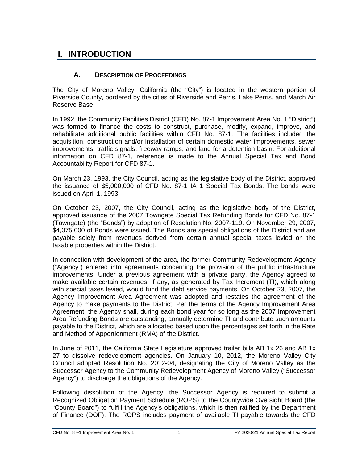## <span id="page-4-0"></span>**I. INTRODUCTION**

#### **A. DESCRIPTION OF PROCEEDINGS**

<span id="page-4-1"></span>The City of Moreno Valley, California (the "City") is located in the western portion of Riverside County, bordered by the cities of Riverside and Perris, Lake Perris, and March Air Reserve Base.

In 1992, the Community Facilities District (CFD) No. 87-1 Improvement Area No. 1 "District") was formed to finance the costs to construct, purchase, modify, expand, improve, and rehabilitate additional public facilities within CFD No. 87-1. The facilities included the acquisition, construction and/or installation of certain domestic water improvements, sewer improvements, traffic signals, freeway ramps, and land for a detention basin. For additional information on CFD 87-1, reference is made to the Annual Special Tax and Bond Accountability Report for CFD 87-1.

On March 23, 1993, the City Council, acting as the legislative body of the District, approved the issuance of \$5,000,000 of CFD No. 87-1 IA 1 Special Tax Bonds. The bonds were issued on April 1, 1993.

On October 23, 2007, the City Council, acting as the legislative body of the District, approved issuance of the 2007 Towngate Special Tax Refunding Bonds for CFD No. 87-1 (Towngate) (the "Bonds") by adoption of Resolution No. 2007-119. On November 29, 2007, \$4,075,000 of Bonds were issued. The Bonds are special obligations of the District and are payable solely from revenues derived from certain annual special taxes levied on the taxable properties within the District.

In connection with development of the area, the former Community Redevelopment Agency ("Agency") entered into agreements concerning the provision of the public infrastructure improvements. Under a previous agreement with a private party, the Agency agreed to make available certain revenues, if any, as generated by Tax Increment (TI), which along with special taxes levied, would fund the debt service payments. On October 23, 2007, the Agency Improvement Area Agreement was adopted and restates the agreement of the Agency to make payments to the District. Per the terms of the Agency Improvement Area Agreement, the Agency shall, during each bond year for so long as the 2007 Improvement Area Refunding Bonds are outstanding, annually determine TI and contribute such amounts payable to the District, which are allocated based upon the percentages set forth in the Rate and Method of Apportionment (RMA) of the District.

In June of 2011, the California State Legislature approved trailer bills AB 1x 26 and AB 1x 27 to dissolve redevelopment agencies. On January 10, 2012, the Moreno Valley City Council adopted Resolution No. 2012-04, designating the City of Moreno Valley as the Successor Agency to the Community Redevelopment Agency of Moreno Valley ("Successor Agency") to discharge the obligations of the Agency.

Following dissolution of the Agency, the Successor Agency is required to submit a Recognized Obligation Payment Schedule (ROPS) to the Countywide Oversight Board (the "County Board") to fulfill the Agency's obligations, which is then ratified by the Department of Finance (DOF). The ROPS includes payment of available TI payable towards the CFD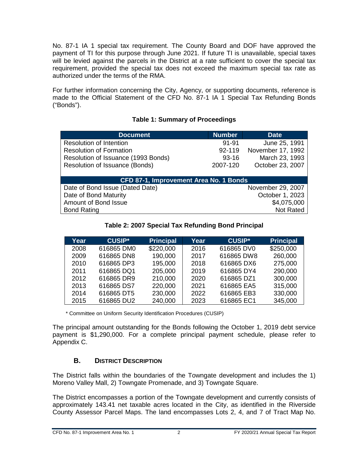No. 87-1 IA 1 special tax requirement. The County Board and DOF have approved the payment of TI for this purpose through June 2021. If future TI is unavailable, special taxes will be levied against the parcels in the District at a rate sufficient to cover the special tax requirement, provided the special tax does not exceed the maximum special tax rate as authorized under the terms of the RMA.

For further information concerning the City, Agency, or supporting documents, reference is made to the Official Statement of the CFD No. 87-1 IA 1 Special Tax Refunding Bonds ("Bonds").

<span id="page-5-1"></span>

| <b>Document</b>                        | Number    | <b>Date</b>       |
|----------------------------------------|-----------|-------------------|
| <b>Resolution of Intention</b>         | $91 - 91$ | June 25, 1991     |
| <b>Resolution of Formation</b>         | 92-119    | November 17, 1992 |
| Resolution of Issuance (1993 Bonds)    | $93 - 16$ | March 23, 1993    |
| Resolution of Issuance (Bonds)         | 2007-120  | October 23, 2007  |
|                                        |           |                   |
| CFD 87-1, Improvement Area No. 1 Bonds |           |                   |
| Date of Bond Issue (Dated Date)        |           | November 29, 2007 |
| Date of Bond Maturity                  |           | October 1, 2023   |
| Amount of Bond Issue                   |           | \$4,075,000       |
| <b>Bond Rating</b>                     |           | <b>Not Rated</b>  |

#### **Table 1: Summary of Proceedings**

#### **Table 2: 2007 Special Tax Refunding Bond Principal**

<span id="page-5-2"></span>

| Year | <b>CUSIP*</b> | <b>Principal</b> | Year | <b>CUSIP*</b> | <b>Principal</b> |
|------|---------------|------------------|------|---------------|------------------|
| 2008 | 616865 DM0    | \$220,000        | 2016 | 616865 DV0    | \$250,000        |
| 2009 | 616865 DN8    | 190,000          | 2017 | 616865 DW8    | 260,000          |
| 2010 | 616865 DP3    | 195,000          | 2018 | 616865 DX6    | 275,000          |
| 2011 | 616865 DQ1    | 205,000          | 2019 | 616865 DY4    | 290,000          |
| 2012 | 616865 DR9    | 210,000          | 2020 | 616865 DZ1    | 300,000          |
| 2013 | 616865 DS7    | 220,000          | 2021 | 616865 EA5    | 315,000          |
| 2014 | 616865 DT5    | 230,000          | 2022 | 616865 EB3    | 330,000          |
| 2015 | 616865 DU2    | 240,000          | 2023 | 616865 EC1    | 345,000          |

\* Committee on Uniform Security Identification Procedures (CUSIP)

The principal amount outstanding for the Bonds following the October 1, 2019 debt service payment is \$1,290,000. For a complete principal payment schedule, please refer to Appendix C.

#### **B. DISTRICT DESCRIPTION**

<span id="page-5-0"></span>The District falls within the boundaries of the Towngate development and includes the 1) Moreno Valley Mall, 2) Towngate Promenade, and 3) Towngate Square.

The District encompasses a portion of the Towngate development and currently consists of approximately 143.41 net taxable acres located in the City, as identified in the Riverside County Assessor Parcel Maps. The land encompasses Lots 2, 4, and 7 of Tract Map No.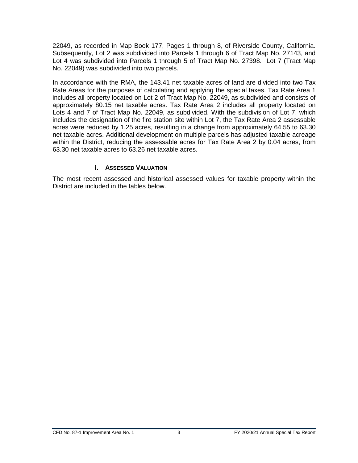22049, as recorded in Map Book 177, Pages 1 through 8, of Riverside County, California. Subsequently, Lot 2 was subdivided into Parcels 1 through 6 of Tract Map No. 27143, and Lot 4 was subdivided into Parcels 1 through 5 of Tract Map No. 27398. Lot 7 (Tract Map No. 22049) was subdivided into two parcels.

In accordance with the RMA, the 143.41 net taxable acres of land are divided into two Tax Rate Areas for the purposes of calculating and applying the special taxes. Tax Rate Area 1 includes all property located on Lot 2 of Tract Map No. 22049, as subdivided and consists of approximately 80.15 net taxable acres. Tax Rate Area 2 includes all property located on Lots 4 and 7 of Tract Map No. 22049, as subdivided. With the subdivision of Lot 7, which includes the designation of the fire station site within Lot 7, the Tax Rate Area 2 assessable acres were reduced by 1.25 acres, resulting in a change from approximately 64.55 to 63.30 net taxable acres. Additional development on multiple parcels has adjusted taxable acreage within the District, reducing the assessable acres for Tax Rate Area 2 by 0.04 acres, from 63.30 net taxable acres to 63.26 net taxable acres.

#### **i. ASSESSED VALUATION**

<span id="page-6-0"></span>The most recent assessed and historical assessed values for taxable property within the District are included in the tables below.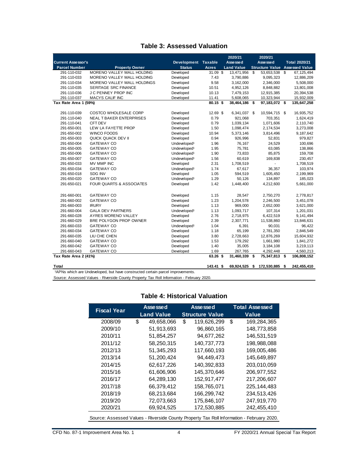#### **Table 3: Assessed Valuation**

<span id="page-7-0"></span>

|                           |                                 |                          |              | 2020/21           |         | 2020/21                |      |                       |
|---------------------------|---------------------------------|--------------------------|--------------|-------------------|---------|------------------------|------|-----------------------|
| <b>Current Assessor's</b> |                                 | Development Taxable      |              | Assessed          |         | Asse sse d             |      | <b>Total 2020/21</b>  |
| <b>Parcel Number</b>      | <b>Property Owner</b>           | <b>Status</b>            | <b>Acres</b> | <b>Land Value</b> |         | <b>Structure Value</b> |      | <b>Assessed Value</b> |
| 291-110-032               | MORENO VALLEY MALL HOLDING      | Developed                | 31.09 \$     | 13,471,956        | \$      | 53,653,538             | \$   | 67,125,494            |
| 291-110-033               | MORENO VALLEY MALL HOLDING      | Developed                | 7.43         | 3,790,886         |         | 9,095,323              |      | 12,886,209            |
| 291-110-034               | MORENO VALLEY MALL HOLDINGS     | Developed                | 9.58         | 3,162,000         |         | 2,346,000              |      | 5,508,000             |
| 291-110-035               | <b>SERITAGE SRC FINANCE</b>     | Developed                | 10.51        | 4,952,126         |         | 8,848,882              |      | 13,801,008            |
| 291-110-036               | <b>J C PENNEY PROP INC</b>      | Developed                | 10.13        | 7,479,153         |         | 12,915,385             |      | 20,394,538            |
| 291-110-037               | <b>MACYS CALIF INC</b>          | Developed                | 11.41        | 5,608,065         |         | 10,323,944             |      | 15,932,009            |
| Tax Rate Area 1 (59%)     |                                 |                          | 80.15 \$     | 38,464,186        | \$      | 97,183,072 \$          |      | 135,647,258           |
|                           |                                 |                          |              |                   |         |                        |      |                       |
| 291-110-039               | <b>COSTCO WHOLESALE CORP</b>    | Developed                | 12.69 \$     | 6,341,037 \$      |         | 10,594,715 \$          |      | 16,935,752            |
| 291-110-040               | <b>NEAL T BAKER ENTERPRISES</b> | Developed                | 0.79         | 921,068           |         | 703,351                |      | 1,624,419             |
| 291-110-041               | CFT DEV                         | Developed                | 0.79         | 1,039,134         |         | 1,071,606              |      | 2,110,740             |
| 291-650-001               | LEW LA FAYETTE PROP             | Developed                | 1.50         | 1,098,474         |         | 2,174,534              |      | 3,273,008             |
| 291-650-002               | <b>WINCO FOODS</b>              | Developed                | 10.94        | 5,373,146         |         | 3,814,496              |      | 9,187,642             |
| 291-650-003               | QUICK QUACK DEV II              | Developed                | 0.94         | 926,996           |         | 52,831                 |      | 979,827               |
| 291-650-004               | <b>GATEWAY CO</b>               | Undeveloped <sup>1</sup> | 1.96         | 76,167            |         | 24,529                 |      | 100,696               |
| 291-650-005               | <b>GATEWAY CO</b>               | Undeveloped <sup>1</sup> | 1.95         | 75,781            |         | 63,085                 |      | 138,866               |
| 291-650-006               | <b>GATEWAY CO</b>               | Undeveloped <sup>1</sup> | 1.90         | 73,833            |         | 85,875                 |      | 159,708               |
| 291-650-007               | <b>GATEWAY CO</b>               | Undeveloped <sup>1</sup> | 1.56         | 60,619            | 169,838 |                        |      | 230,457               |
| 291-650-033               | MV MMP INC                      | Developed                | 2.31         | 1,708,519         |         |                        |      | 1,708,519             |
| 291-650-034               | <b>GATEWAY CO</b>               | Undeveloped <sup>1</sup> | 1.74         | 67,617            |         | 36,357                 |      | 103,974               |
| 291-650-018               | <b>SDG INV</b>                  | Developed                | 1.05         | 594,519           |         | 1,605,450              |      | 2,199,969             |
| 291-650-020               | <b>GATEWAY CO</b>               | Undeveloped <sup>1</sup> | 1.29         | 50,126            |         | 134,897                |      | 185,023               |
| 291-650-021               | FOUR QUARTS & ASSOCIATES        | Developed                | 1.42         | 1,448,400         |         |                        |      | 5,661,000             |
|                           |                                 |                          |              |                   |         |                        |      |                       |
| 291-660-001               | <b>GATEWAY CO</b>               | Developed                | 1.15         | 28,547            |         | 2,750,270              |      | 2,778,817             |
| 291-660-002               | <b>GATEWAY CO</b>               | Developed                | 1.23         | 1,204,578         |         | 2,246,500              |      | 3,451,078             |
| 291-660-003               | <b>IRURY</b>                    | Developed                | 1.13         | 969,000           |         | 2,652,000              |      | 3,621,000             |
| 291-660-004               | <b>GALA DEV PARTNERS</b>        | Undeveloped <sup>1</sup> | 1.13         | 1,093,717         |         | 107,314                |      | 1,201,031             |
| 291-660-028               | AYRES MORENO VALLEY             | Developed                | 2.76         | 2,718,975         |         | 6,422,519              |      | 9,141,494             |
| 291-660-029               | BRE POLYGON PROP OWNER          | Developed                | 2.39         | 2,307,771         |         | 11,538,860             |      | 13,846,631            |
| 291-660-033               | <b>GATEWAY CO</b>               | Undeveloped <sup>1</sup> | 1.04         | 6,391             |         | 90,031                 |      | 96,422                |
| 291-660-034               | <b>GATEWAY CO</b>               | Developed                | 1.18         | 65,199            |         | 2,781,350              |      | 2,846,549             |
| 291-660-035               | LIU CHE CHEN                    | Developed                | 3.80         | 2,728,663         |         | 12,876,269             |      | 15,604,932            |
| 291-660-040               | <b>GATEWAY CO</b>               | Developed                | 1.53         | 179,292           |         | 1,661,980              |      | 1,841,272             |
| 291-660-042               | <b>GATEWAY CO</b>               | Developed                | 1.40         | 35,005            |         | 3,184,108              |      | 3,219,113             |
| 291-660-043               | <b>GATEWAY CO</b>               | Developed                | 1.69         | 267,765           |         | 4,292,448              |      | 4,560,213             |
| Tax Rate Area 2 (41%)     |                                 |                          | 63.26 \$     | 31,460,339        | \$      | 75,347,813 \$          |      | 106,808,152           |
| Total                     |                                 |                          | 143.41 S     | 69.924.525        | \$      | 172.530.885            | - \$ | 242.455.410           |

<sup>1</sup>APNs which are Undeveloped, but have constructed certain parcel improvements.

<span id="page-7-1"></span>Source: Assessed Values - Riverside County Property Tax Roll Information - February 2020.

#### **Table 4: Historical Valuation**

| <b>Fiscal Year</b>                                                                        |    | Assessed<br><b>Land Value</b> |    | <b>Assessed</b><br><b>Structure Value</b> |    | <b>Total Assessed</b><br><b>Value</b> |  |
|-------------------------------------------------------------------------------------------|----|-------------------------------|----|-------------------------------------------|----|---------------------------------------|--|
| 2008/09                                                                                   | \$ | 49,658,066                    | \$ | 119,626,299                               | \$ | 169,284,365                           |  |
| 2009/10                                                                                   |    | 51.913.693                    |    | 96,860,165                                |    | 148,773,858                           |  |
| 2010/11                                                                                   |    | 51,854,257                    |    | 94,677,262                                |    | 146,531,519                           |  |
| 2011/12                                                                                   |    | 58.250.315                    |    | 140,737,773                               |    | 198,988,088                           |  |
| 2012/13                                                                                   |    | 51,345,293                    |    | 117,660,193                               |    | 169,005,486                           |  |
| 2013/14                                                                                   |    | 51,200,424                    |    | 94.449.473                                |    | 145.649.897                           |  |
| 2014/15                                                                                   |    | 62,617,226                    |    | 140,392,833                               |    | 203,010,059                           |  |
| 2015/16                                                                                   |    | 61,606,906                    |    | 145,370,646                               |    | 206, 977, 552                         |  |
| 2016/17                                                                                   |    | 64,289,130                    |    | 152,917,477                               |    | 217,206,607                           |  |
| 2017/18                                                                                   |    | 66,379,412                    |    | 158,765,071                               |    | 225, 144, 483                         |  |
| 2018/19                                                                                   |    | 68,213,684                    |    | 166,299,742                               |    | 234,513,426                           |  |
| 2019/20                                                                                   |    | 72,073,663                    |    | 175,846,107                               |    | 247,919,770                           |  |
| 2020/21                                                                                   |    | 69,924,525                    |    | 172,530,885                               |    | 242,455,410                           |  |
| Source: Assessed Values - Riverside County Property Tax Roll Information - February 2020. |    |                               |    |                                           |    |                                       |  |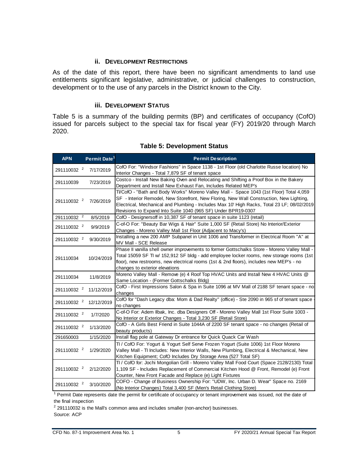#### **ii. DEVELOPMENT RESTRICTIONS**

<span id="page-8-0"></span>As of the date of this report, there have been no significant amendments to land use entitlements significant legislative, administrative, or judicial challenges to construction, development or to the use of any parcels in the District known to the City.

#### **iii. DEVELOPMENT STATUS**

<span id="page-8-1"></span>Table 5 is a summary of the building permits (BP) and certificates of occupancy (CofO) issued for parcels subject to the special tax for fiscal year (FY) 2019/20 through March 2020.

<span id="page-8-2"></span>

| <b>APN</b>             | Permit Date <sup>1</sup> | <b>Permit Description</b>                                                                                                                                                                                                                                                                                                                          |
|------------------------|--------------------------|----------------------------------------------------------------------------------------------------------------------------------------------------------------------------------------------------------------------------------------------------------------------------------------------------------------------------------------------------|
| 291110032 <sup>2</sup> | 7/17/2019                | CofO For: "Windsor Fashions" in Space 1138 - 1st Floor (old Charlotte Russe location) No<br>Interior Changes - Total 7,879 SF of tenant space                                                                                                                                                                                                      |
| 291110039              | 7/23/2019                | Costco - Install New Baking Oven and Relocating and Shifting a Proof Box in the Bakery<br>Department and Install New Exhaust Fan, Includes Related MEP's                                                                                                                                                                                           |
| 291110032 <sup>2</sup> | 7/26/2019                | TI/CofO - "Bath and Body Works" Moreno Valley Mall - Space 1043 (1st Floor) Total 4,059<br>SF - Interior Remodel, New Storefront, New Floring, New Wall Construction, New Lighting,<br>Electrical, Mechanical and Plumbing - Includes Max 10' High Racks, Total 23 LF; 08/02/2019<br>Revisions to Expand Into Suite 1040 (965 SF) Under BPR19-0307 |
| 291110032 <sup>2</sup> | 8/5/2019                 | CofO - Designersoff in 10,387 SF of tenant space in suite 1123 (retail)                                                                                                                                                                                                                                                                            |
| 291110032 <sup>2</sup> | 9/9/2019                 | C-of-O For: "Beauty Bar Wigs & Hair" Suite 1,000 SF (Retail Store) No Interior/Exterior<br>Changes - Moreno Valley Mall 1st Floor (Adjacent to Macy's)                                                                                                                                                                                             |
| 291110032 <sup>2</sup> | 9/30/2019                | Installing a new 200 AMP Subpanel in Unit 1006 and Transformer in Electrical Room "A" at<br>MV Mall - SCE Release                                                                                                                                                                                                                                  |
| 291110034              | 10/24/2019               | Phase II vanilla shell owner improvements to former Gottschalks Store - Moreno Valley Mall -<br>Total 15059 SF TI w/ 152,912 SF bldg - add employee locker rooms, new storage rooms (1st<br>floor), new restrooms, new electrical rooms (1st & 2nd floors), includes new MEP's - no<br>changes to exterior elevations                              |
| 291110034              | 11/8/2019                | Moreno Valley Mall - Remove (e) 4 Roof Top HVAC Units and Install New 4 HVAC Units @<br>Same Location - (Former Gottschalks Bldg)                                                                                                                                                                                                                  |
| 291110032 <sup>2</sup> | 11/12/2019               | CofO - First Impressions Salon & Spa in Suite 1096 at MV Mall of 2188 SF tenant space - no<br>changes                                                                                                                                                                                                                                              |
| 291110032 <sup>2</sup> | 12/12/2019               | CofO for "Dash Legacy dba: Mom & Dad Realty" (office) - Ste 2090 in 965 sf of tenant space<br>no changes                                                                                                                                                                                                                                           |
| 291110032 <sup>2</sup> | 1/7/2020                 | C-of-O For: Adem Ilbak, Inc. dba Designers Off - Moreno Valley Mall 1st Floor Suite 1003 -<br>No Interior or Exterior Changes - Total 3,230 SF (Retail Store)                                                                                                                                                                                      |
| 291110032 <sup>2</sup> | 1/13/2020                | CofO - A Girls Best Friend in Suite 1044A of 2200 SF tenant space - no changes (Retail of<br>beauty products)                                                                                                                                                                                                                                      |
| 291650003              | 1/15/2020                | Install flag pole at Gateway Dr entrance for Quick Quack Car Wash                                                                                                                                                                                                                                                                                  |
| 291110032 <sup>2</sup> | 1/29/2020                | TI / CofO For: Yogurt & Yogurt Self Serve Frozen Yogurt (Suite 1006) 1st Floor Moreno<br>Valley Mall - TI Includes: New Interior Walls, New Plumbing, Electrical & Mechanical, New<br>Kitchen Equipment; CofO Includes Dry Storage Area (527 Total SF)                                                                                             |
| 291110032 <sup>2</sup> | 2/12/2020                | TI / CofO for: Jochi Mongolian Grill - Moreno Valley Mall Food Court (Space 2128/2130) Total<br>1,109 SF - Includes Replacement of Commercial Kitchen Hood @ Front, Remodel (e) Front<br>Counter, New Front Facade and Replace (e) Light Fixtures                                                                                                  |
| 291110032 <sup>2</sup> | 3/10/2020                | COFO - Change of Business Ownership For: "UDW, Inc. Urban D. Wear" Space no. 2169<br>(No Interior Changes) Total 3,400 SF (Men's Retail Clothing Store)                                                                                                                                                                                            |

#### **Table 5: Development Status**

<sup>1</sup> Permit Date represents date the permit for certificate of occupancy or tenant improvement was issued, not the date of the final inspection

 $2$  291110032 is the Mall's common area and includes smaller (non-anchor) businesses. Source: ACP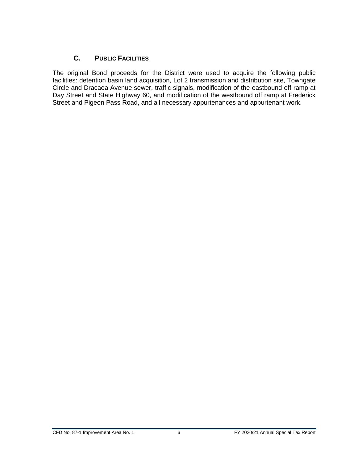#### **C. PUBLIC FACILITIES**

<span id="page-9-0"></span>The original Bond proceeds for the District were used to acquire the following public facilities: detention basin land acquisition, Lot 2 transmission and distribution site, Towngate Circle and Dracaea Avenue sewer, traffic signals, modification of the eastbound off ramp at Day Street and State Highway 60, and modification of the westbound off ramp at Frederick Street and Pigeon Pass Road, and all necessary appurtenances and appurtenant work.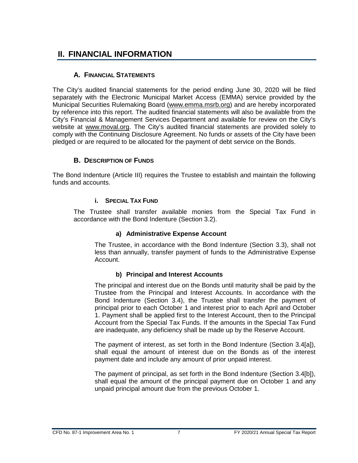## <span id="page-10-0"></span>**II. FINANCIAL INFORMATION**

#### **A. FINANCIAL STATEMENTS**

<span id="page-10-1"></span>The City's audited financial statements for the period ending June 30, 2020 will be filed separately with the Electronic Municipal Market Access (EMMA) service provided by the Municipal Securities Rulemaking Board [\(www.emma.msrb.org\)](http://www.emma.msrb.org/) and are hereby incorporated by reference into this report. The audited financial statements will also be available from the City's Financial & Management Services Department and available for review on the City's website at [www.moval.org.](http://www.moval.org/) The City's audited financial statements are provided solely to comply with the Continuing Disclosure Agreement. No funds or assets of the City have been pledged or are required to be allocated for the payment of debt service on the Bonds.

#### **B. DESCRIPTION OF FUNDS**

<span id="page-10-3"></span><span id="page-10-2"></span>The Bond Indenture (Article III) requires the Trustee to establish and maintain the following funds and accounts.

#### **i. SPECIAL TAX FUND**

The Trustee shall transfer available monies from the Special Tax Fund in accordance with the Bond Indenture (Section 3.2).

#### **a) Administrative Expense Account**

The Trustee, in accordance with the Bond Indenture (Section 3.3), shall not less than annually, transfer payment of funds to the Administrative Expense Account.

#### **b) Principal and Interest Accounts**

The principal and interest due on the Bonds until maturity shall be paid by the Trustee from the Principal and Interest Accounts. In accordance with the Bond Indenture (Section 3.4), the Trustee shall transfer the payment of principal prior to each October 1 and interest prior to each April and October 1. Payment shall be applied first to the Interest Account, then to the Principal Account from the Special Tax Funds. If the amounts in the Special Tax Fund are inadequate, any deficiency shall be made up by the Reserve Account.

The payment of interest, as set forth in the Bond Indenture (Section 3.4[a]), shall equal the amount of interest due on the Bonds as of the interest payment date and include any amount of prior unpaid interest.

The payment of principal, as set forth in the Bond Indenture (Section 3.4[b]), shall equal the amount of the principal payment due on October 1 and any unpaid principal amount due from the previous October 1.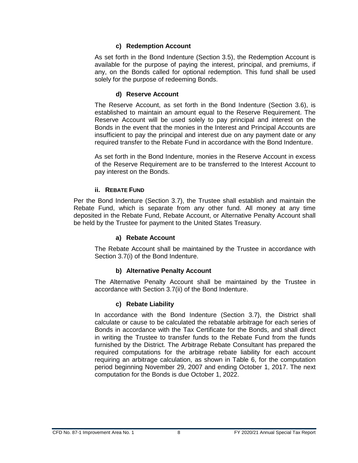#### **c) Redemption Account**

As set forth in the Bond Indenture (Section 3.5), the Redemption Account is available for the purpose of paying the interest, principal, and premiums, if any, on the Bonds called for optional redemption. This fund shall be used solely for the purpose of redeeming Bonds.

#### **d) Reserve Account**

The Reserve Account, as set forth in the Bond Indenture (Section 3.6), is established to maintain an amount equal to the Reserve Requirement. The Reserve Account will be used solely to pay principal and interest on the Bonds in the event that the monies in the Interest and Principal Accounts are insufficient to pay the principal and interest due on any payment date or any required transfer to the Rebate Fund in accordance with the Bond Indenture.

As set forth in the Bond Indenture, monies in the Reserve Account in excess of the Reserve Requirement are to be transferred to the Interest Account to pay interest on the Bonds.

#### **ii. REBATE FUND**

<span id="page-11-0"></span>Per the Bond Indenture (Section 3.7), the Trustee shall establish and maintain the Rebate Fund, which is separate from any other fund. All money at any time deposited in the Rebate Fund, Rebate Account, or Alternative Penalty Account shall be held by the Trustee for payment to the United States Treasury.

#### **a) Rebate Account**

The Rebate Account shall be maintained by the Trustee in accordance with Section 3.7(i) of the Bond Indenture.

#### **b) Alternative Penalty Account**

The Alternative Penalty Account shall be maintained by the Trustee in accordance with Section 3.7(ii) of the Bond Indenture.

#### **c) Rebate Liability**

In accordance with the Bond Indenture (Section 3.7), the District shall calculate or cause to be calculated the rebatable arbitrage for each series of Bonds in accordance with the Tax Certificate for the Bonds, and shall direct in writing the Trustee to transfer funds to the Rebate Fund from the funds furnished by the District. The Arbitrage Rebate Consultant has prepared the required computations for the arbitrage rebate liability for each account requiring an arbitrage calculation, as shown in Table 6, for the computation period beginning November 29, 2007 and ending October 1, 2017. The next computation for the Bonds is due October 1, 2022.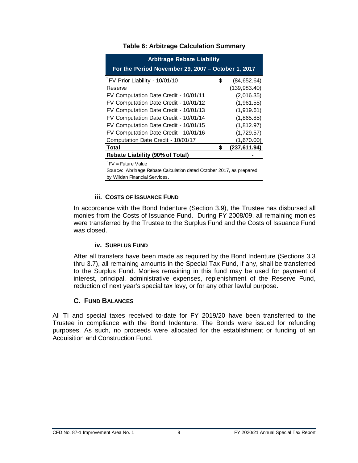<span id="page-12-3"></span>

| <b>Arbitrage Rebate Liability</b><br>For the Period November 29, 2007 - October 1, 2017 |    |               |  |  |  |  |  |  |
|-----------------------------------------------------------------------------------------|----|---------------|--|--|--|--|--|--|
| FV Prior Liability - 10/01/10                                                           | \$ | (84,652.64)   |  |  |  |  |  |  |
| Reserve                                                                                 |    | (139, 983.40) |  |  |  |  |  |  |
| FV Computation Date Credit - 10/01/11                                                   |    | (2,016.35)    |  |  |  |  |  |  |
| FV Computation Date Credit - 10/01/12                                                   |    | (1,961.55)    |  |  |  |  |  |  |
| FV Computation Date Credit - 10/01/13                                                   |    | (1,919.61)    |  |  |  |  |  |  |
| FV Computation Date Credit - 10/01/14                                                   |    | (1,865.85)    |  |  |  |  |  |  |
| FV Computation Date Credit - 10/01/15                                                   |    | (1,812.97)    |  |  |  |  |  |  |
| FV Computation Date Credit - 10/01/16                                                   |    | (1,729.57)    |  |  |  |  |  |  |
| Computation Date Credit - 10/01/17                                                      |    | (1,670.00)    |  |  |  |  |  |  |
| <b>Total</b><br>(237, 611.94)                                                           |    |               |  |  |  |  |  |  |
| <b>Rebate Liability (90% of Total)</b>                                                  |    |               |  |  |  |  |  |  |

#### **Table 6: Arbitrage Calculation Summary**

FV = Future Value

Source: Abritrage Rebate Calculation dated October 2017, as prepared by Willdan Financial Services.

#### **iii. COSTS OF ISSUANCE FUND**

<span id="page-12-0"></span>In accordance with the Bond Indenture (Section 3.9), the Trustee has disbursed all monies from the Costs of Issuance Fund. During FY 2008/09, all remaining monies were transferred by the Trustee to the Surplus Fund and the Costs of Issuance Fund was closed.

#### **iv. SURPLUS FUND**

<span id="page-12-1"></span>After all transfers have been made as required by the Bond Indenture (Sections 3.3 thru 3.7), all remaining amounts in the Special Tax Fund, if any, shall be transferred to the Surplus Fund. Monies remaining in this fund may be used for payment of interest, principal, administrative expenses, replenishment of the Reserve Fund, reduction of next year's special tax levy, or for any other lawful purpose.

#### **C. FUND BALANCES**

<span id="page-12-2"></span>All TI and special taxes received to-date for FY 2019/20 have been transferred to the Trustee in compliance with the Bond Indenture. The Bonds were issued for refunding purposes. As such, no proceeds were allocated for the establishment or funding of an Acquisition and Construction Fund.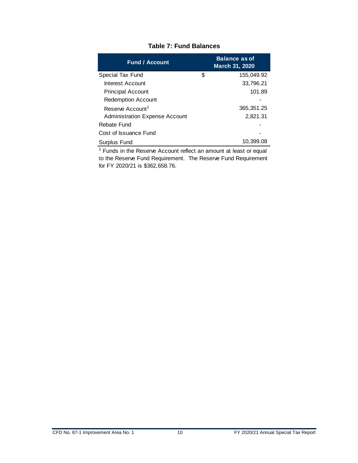<span id="page-13-0"></span>

| <b>Fund / Account</b>                 |   | <b>Balance as of</b><br>March 31, 2020 |
|---------------------------------------|---|----------------------------------------|
| Special Tax Fund                      | S | 155,049.92                             |
| Interest Account                      |   | 33,796.21                              |
| <b>Principal Account</b>              |   | 101.89                                 |
| <b>Redemption Account</b>             |   |                                        |
| Reserve Account <sup>1</sup>          |   | 365, 351. 25                           |
| <b>Administration Expense Account</b> |   | 2,821.31                               |
| Rebate Fund                           |   |                                        |
| Cost of Issuance Fund                 |   |                                        |
| Surplus Fund                          |   | 10,399.08                              |

#### **Table 7: Fund Balances**

<sup>1</sup> Funds in the Reserve Account reflect an amount at least or equal to the Reserve Fund Requirement. The Reserve Fund Requirement for FY 2020/21 is \$362,658.76.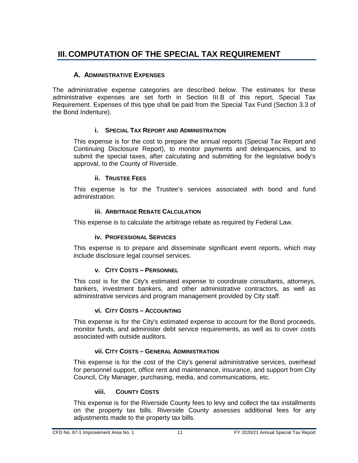## <span id="page-14-0"></span>**III. COMPUTATION OF THE SPECIAL TAX REQUIREMENT**

#### **A. ADMINISTRATIVE EXPENSES**

<span id="page-14-1"></span>The administrative expense categories are described below. The estimates for these administrative expenses are set forth in Section III.B of this report, Special Tax Requirement. Expenses of this type shall be paid from the Special Tax Fund (Section 3.3 of the Bond Indenture).

#### **i. SPECIAL TAX REPORT AND ADMINISTRATION**

<span id="page-14-2"></span>This expense is for the cost to prepare the annual reports (Special Tax Report and Continuing Disclosure Report), to monitor payments and delinquencies, and to submit the special taxes, after calculating and submitting for the legislative body's approval, to the County of Riverside.

#### **ii. TRUSTEE FEES**

<span id="page-14-3"></span>This expense is for the Trustee's services associated with bond and fund administration.

#### **iii. ARBITRAGE REBATE CALCULATION**

<span id="page-14-5"></span><span id="page-14-4"></span>This expense is to calculate the arbitrage rebate as required by Federal Law.

#### **iv. PROFESSIONAL SERVICES**

This expense is to prepare and disseminate significant event reports, which may include disclosure legal counsel services.

#### **v. CITY COSTS – PERSONNEL**

<span id="page-14-6"></span>This cost is for the City's estimated expense to coordinate consultants, attorneys, bankers, investment bankers, and other administrative contractors, as well as administrative services and program management provided by City staff.

#### **vi. CITY COSTS – ACCOUNTING**

<span id="page-14-7"></span>This expense is for the City's estimated expense to account for the Bond proceeds, monitor funds, and administer debt service requirements, as well as to cover costs associated with outside auditors.

#### **vii. CITY COSTS – GENERAL ADMINISTRATION**

<span id="page-14-8"></span>This expense is for the cost of the City's general administrative services, overhead for personnel support, office rent and maintenance, insurance, and support from City Council, City Manager, purchasing, media, and communications, etc.

#### **viii. COUNTY COSTS**

<span id="page-14-9"></span>This expense is for the Riverside County fees to levy and collect the tax installments on the property tax bills. Riverside County assesses additional fees for any adjustments made to the property tax bills.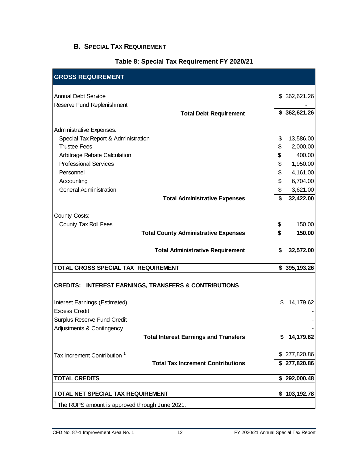#### <span id="page-15-0"></span>**B. SPECIAL TAX REQUIREMENT**

#### **Table 8: Special Tax Requirement FY 2020/21**

<span id="page-15-1"></span>

| <b>GROSS REQUIREMENT</b>                                         |                 |
|------------------------------------------------------------------|-----------------|
| <b>Annual Debt Service</b>                                       | \$362,621.26    |
| Reserve Fund Replenishment                                       |                 |
| <b>Total Debt Requirement</b>                                    | \$362,621.26    |
| Administrative Expenses:                                         |                 |
| Special Tax Report & Administration                              | \$<br>13,586.00 |
| <b>Trustee Fees</b>                                              | \$<br>2,000.00  |
| Arbitrage Rebate Calculation                                     | \$<br>400.00    |
| <b>Professional Services</b>                                     | \$<br>1,950.00  |
| Personnel                                                        | \$<br>4,161.00  |
| Accounting                                                       | \$<br>6,704.00  |
| <b>General Administration</b>                                    | \$<br>3,621.00  |
| <b>Total Administrative Expenses</b>                             | \$<br>32,422.00 |
| County Costs:                                                    |                 |
| County Tax Roll Fees                                             | \$<br>150.00    |
| <b>Total County Administrative Expenses</b>                      | \$<br>150.00    |
|                                                                  |                 |
| <b>Total Administrative Requirement</b>                          | \$<br>32,572.00 |
| TOTAL GROSS SPECIAL TAX REQUIREMENT                              | \$395,193.26    |
| <b>CREDITS: INTEREST EARNINGS, TRANSFERS &amp; CONTRIBUTIONS</b> |                 |
| Interest Earnings (Estimated)                                    | \$<br>14,179.62 |
| <b>Excess Credit</b>                                             |                 |
| Surplus Reserve Fund Credit                                      |                 |
| Adjustments & Contingency                                        |                 |
| <b>Total Interest Earnings and Transfers</b>                     | \$14,179.62     |
| Tax Increment Contribution <sup>1</sup>                          | \$277,820.86    |
| <b>Total Tax Increment Contributions</b>                         | \$277,820.86    |
| <b>TOTAL CREDITS</b>                                             | \$292,000.48    |
| TOTAL NET SPECIAL TAX REQUIREMENT                                | \$103,192.78    |
| The ROPS amount is approved through June 2021.                   |                 |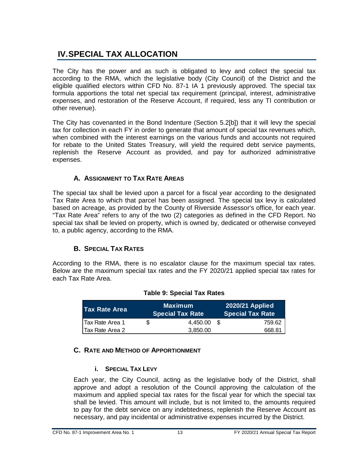## <span id="page-16-0"></span>**IV.SPECIAL TAX ALLOCATION**

The City has the power and as such is obligated to levy and collect the special tax according to the RMA, which the legislative body (City Council) of the District and the eligible qualified electors within CFD No. 87-1 IA 1 previously approved. The special tax formula apportions the total net special tax requirement (principal, interest, administrative expenses, and restoration of the Reserve Account, if required, less any TI contribution or other revenue).

The City has covenanted in the Bond Indenture (Section 5.2[b]) that it will levy the special tax for collection in each FY in order to generate that amount of special tax revenues which, when combined with the interest earnings on the various funds and accounts not required for rebate to the United States Treasury, will yield the required debt service payments, replenish the Reserve Account as provided, and pay for authorized administrative expenses.

#### **A. ASSIGNMENT TO TAX RATE AREAS**

<span id="page-16-1"></span>The special tax shall be levied upon a parcel for a fiscal year according to the designated Tax Rate Area to which that parcel has been assigned. The special tax levy is calculated based on acreage, as provided by the County of Riverside Assessor's office, for each year. "Tax Rate Area" refers to any of the two (2) categories as defined in the CFD Report. No special tax shall be levied on property, which is owned by, dedicated or otherwise conveyed to, a public agency, according to the RMA.

#### **B. SPECIAL TAX RATES**

<span id="page-16-5"></span><span id="page-16-2"></span>According to the RMA, there is no escalator clause for the maximum special tax rates. Below are the maximum special tax rates and the FY 2020/21 applied special tax rates for each Tax Rate Area.

| <b>I Tax Rate Area</b>  |   | <b>Maximum</b><br><b>Special Tax Rate</b> |  | <b>2020/21 Applied</b><br><b>Special Tax Rate</b> |
|-------------------------|---|-------------------------------------------|--|---------------------------------------------------|
| <b>ITax Rate Area 1</b> | Ж | 4.450.00                                  |  | 759.62                                            |
| <b>Tax Rate Area 2</b>  |   | 3.850.00                                  |  | 668.81                                            |

#### **Table 9: Special Tax Rates**

#### <span id="page-16-4"></span><span id="page-16-3"></span>**C. RATE AND METHOD OF APPORTIONMENT**

#### **i. SPECIAL TAX LEVY**

Each year, the City Council, acting as the legislative body of the District, shall approve and adopt a resolution of the Council approving the calculation of the maximum and applied special tax rates for the fiscal year for which the special tax shall be levied. This amount will include, but is not limited to, the amounts required to pay for the debt service on any indebtedness, replenish the Reserve Account as necessary, and pay incidental or administrative expenses incurred by the District.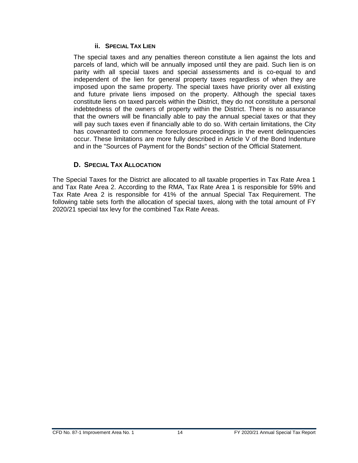#### **ii. SPECIAL TAX LIEN**

<span id="page-17-0"></span>The special taxes and any penalties thereon constitute a lien against the lots and parcels of land, which will be annually imposed until they are paid. Such lien is on parity with all special taxes and special assessments and is co-equal to and independent of the lien for general property taxes regardless of when they are imposed upon the same property. The special taxes have priority over all existing and future private liens imposed on the property. Although the special taxes constitute liens on taxed parcels within the District, they do not constitute a personal indebtedness of the owners of property within the District. There is no assurance that the owners will be financially able to pay the annual special taxes or that they will pay such taxes even if financially able to do so. With certain limitations, the City has covenanted to commence foreclosure proceedings in the event delinquencies occur. These limitations are more fully described in Article V of the Bond Indenture and in the "Sources of Payment for the Bonds" section of the Official Statement.

#### **D. SPECIAL TAX ALLOCATION**

<span id="page-17-1"></span>The Special Taxes for the District are allocated to all taxable properties in Tax Rate Area 1 and Tax Rate Area 2. According to the RMA, Tax Rate Area 1 is responsible for 59% and Tax Rate Area 2 is responsible for 41% of the annual Special Tax Requirement. The following table sets forth the allocation of special taxes, along with the total amount of FY 2020/21 special tax levy for the combined Tax Rate Areas.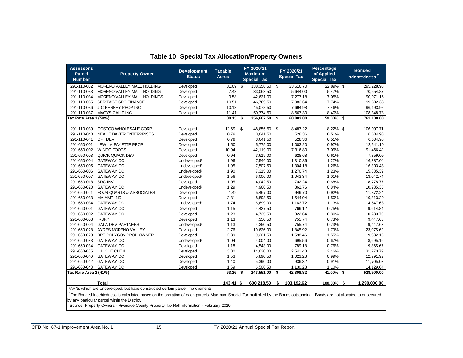<span id="page-18-0"></span>

| Assessor's<br><b>Parcel</b><br><b>Number</b>                                                                                                                                                                                                                                                                                                                                                                                          | <b>Property Owner</b>       | <b>Development</b><br><b>Status</b> | <b>Taxable</b><br><b>Acres</b> |    | FY 2020/21<br><b>Maximum</b><br><b>Special Tax</b> |      | FY 2020/21<br><b>Special Tax</b> | <b>Percentage</b><br>of Applied<br><b>Special Tax</b> | <b>Bonded</b><br>Indebtedness <sup>2</sup> |
|---------------------------------------------------------------------------------------------------------------------------------------------------------------------------------------------------------------------------------------------------------------------------------------------------------------------------------------------------------------------------------------------------------------------------------------|-----------------------------|-------------------------------------|--------------------------------|----|----------------------------------------------------|------|----------------------------------|-------------------------------------------------------|--------------------------------------------|
| 291-110-032                                                                                                                                                                                                                                                                                                                                                                                                                           | MORENO VALLEY MALL HOLDING  | Developed                           | 31.09                          | \$ | 138,350.50                                         | \$   | 23,616.70                        | 22.89% \$                                             | 295,228.93                                 |
| 291-110-033                                                                                                                                                                                                                                                                                                                                                                                                                           | MORENO VALLEY MALL HOLDING  | Developed                           | 7.43                           |    | 33,063.50                                          |      | 5,644.00                         | 5.47%                                                 | 70.554.87                                  |
| 291-110-034                                                                                                                                                                                                                                                                                                                                                                                                                           | MORENO VALLEY MALL HOLDINGS | Developed                           | 9.58                           |    | 42,631.00                                          |      | 7,277.18                         | 7.05%                                                 | 90,971.15                                  |
| 291-110-035                                                                                                                                                                                                                                                                                                                                                                                                                           | <b>SERITAGE SRC FINANCE</b> | Developed                           | 10.51                          |    | 46,769.50                                          |      | 7,983.64                         | 7.74%                                                 | 99,802.38                                  |
| 291-110-036                                                                                                                                                                                                                                                                                                                                                                                                                           | J C PENNEY PROP INC         | Developed                           | 10.13                          |    | 45,078.50                                          |      | 7,694.98                         | 7.46%                                                 | 96,193.92                                  |
| 291-110-037                                                                                                                                                                                                                                                                                                                                                                                                                           | <b>MACYS CALIF INC</b>      | Developed                           | 11.41                          |    | 50,774.50                                          |      | 8,667.30                         | 8.40%                                                 | 108,348.73                                 |
| Tax Rate Area 1 (59%)                                                                                                                                                                                                                                                                                                                                                                                                                 |                             |                                     | 80.15                          | S. | 356,667.50                                         | - \$ | 60,883.80                        | 59.00% \$                                             | 761,100.00                                 |
| 291-110-039                                                                                                                                                                                                                                                                                                                                                                                                                           | COSTCO WHOLESALE CORP       | Developed                           | 12.69                          | \$ | 48,856.50                                          | \$   | 8,487.22                         | 8.22% \$                                              | 106,097.71                                 |
| 291-110-040                                                                                                                                                                                                                                                                                                                                                                                                                           | NEAL T BAKER ENTERPRISES    | Developed                           | 0.79                           |    | 3,041.50                                           |      | 528.36                           | 0.51%                                                 | 6,604.98                                   |
| 291-110-041                                                                                                                                                                                                                                                                                                                                                                                                                           | CFT DEV                     | Developed                           | 0.79                           |    | 3,041.50                                           |      | 528.36                           | 0.51%                                                 | 6,604.98                                   |
| 291-650-001                                                                                                                                                                                                                                                                                                                                                                                                                           | LEW LA FAYETTE PROP         | Developed                           | 1.50                           |    | 5,775.00                                           |      | 1,003.20                         | 0.97%                                                 | 12,541.10                                  |
| 291-650-002                                                                                                                                                                                                                                                                                                                                                                                                                           | WINCO FOODS                 | Developed                           | 10.94                          |    | 42,119.00                                          |      | 7,316.80                         | 7.09%                                                 | 91,466.42                                  |
| 291-650-003                                                                                                                                                                                                                                                                                                                                                                                                                           | QUICK QUACK DEV II          | Developed                           | 0.94                           |    | 3,619.00                                           |      | 628.68                           | 0.61%                                                 | 7,859.09                                   |
| 291-650-004                                                                                                                                                                                                                                                                                                                                                                                                                           | <b>GATEWAY CO</b>           | Undeveloped <sup>1</sup>            | 1.96                           |    | 7,546.00                                           |      | 1,310.86                         | 1.27%                                                 | 16,387.04                                  |
| 291-650-005                                                                                                                                                                                                                                                                                                                                                                                                                           | <b>GATEWAY CO</b>           | Undeveloped <sup>1</sup>            | 1.95                           |    | 7,507.50                                           |      | 1,304.18                         | 1.26%                                                 | 16,303.43                                  |
| 291-650-006                                                                                                                                                                                                                                                                                                                                                                                                                           | <b>GATEWAY CO</b>           | Undeveloped <sup>1</sup>            | 1.90                           |    | 7,315.00                                           |      | 1,270.74                         | 1.23%                                                 | 15,885.39                                  |
| 291-650-007                                                                                                                                                                                                                                                                                                                                                                                                                           | <b>GATEWAY CO</b>           | Undeveloped <sup>1</sup>            | 1.56                           |    | 6,006.00                                           |      | 1,043.34                         | 1.01%                                                 | 13,042.74                                  |
| 291-650-018                                                                                                                                                                                                                                                                                                                                                                                                                           | SDG INV                     | Developed                           | 1.05                           |    | 4,042.50                                           |      | 702.24                           | 0.68%                                                 | 8,778.77                                   |
| 291-650-020                                                                                                                                                                                                                                                                                                                                                                                                                           | <b>GATEWAY CO</b>           | Undeveloped <sup>1</sup>            | 1.29                           |    | 4,966.50                                           |      | 862.76                           | 0.84%                                                 | 10,785.35                                  |
| 291-650-021                                                                                                                                                                                                                                                                                                                                                                                                                           | FOUR QUARTS & ASSOCIATES    | Developed                           | 1.42                           |    | 5,467.00                                           |      | 949.70                           | 0.92%                                                 | 11,872.24                                  |
| 291-650-033                                                                                                                                                                                                                                                                                                                                                                                                                           | MV MMP INC                  | Developed                           | 2.31                           |    | 8,893.50                                           |      | 1,544.94                         | 1.50%                                                 | 19,313.29                                  |
| 291-650-034                                                                                                                                                                                                                                                                                                                                                                                                                           | <b>GATEWAY CO</b>           | Undeveloped <sup>1</sup>            | 1.74                           |    | 6,699.00                                           |      | 1,163.72                         | 1.13%                                                 | 14,547.68                                  |
| 291-660-001                                                                                                                                                                                                                                                                                                                                                                                                                           | <b>GATEWAY CO</b>           | Developed                           | 1.15                           |    | 4,427.50                                           |      | 769.12                           | 0.75%                                                 | 9,614.84                                   |
| 291-660-002                                                                                                                                                                                                                                                                                                                                                                                                                           | <b>GATEWAY CO</b>           | Developed                           | 1.23                           |    | 4,735.50                                           |      | 822.64                           | 0.80%                                                 | 10,283.70                                  |
| 291-660-003                                                                                                                                                                                                                                                                                                                                                                                                                           | <b>IRURY</b>                | Developed                           | 1.13                           |    | 4,350.50                                           |      | 755.74                           | 0.73%                                                 | 9,447.63                                   |
| 291-660-004                                                                                                                                                                                                                                                                                                                                                                                                                           | <b>GALA DEV PARTNERS</b>    | Undeveloped <sup>1</sup>            | 1.13                           |    | 4,350.50                                           |      | 755.74                           | 0.73%                                                 | 9,447.63                                   |
| 291-660-028                                                                                                                                                                                                                                                                                                                                                                                                                           | AYRES MORENO VALLEY         | Developed                           | 2.76                           |    | 10,626.00                                          |      | 1,845.92                         | 1.79%                                                 | 23,075.62                                  |
| 291-660-029                                                                                                                                                                                                                                                                                                                                                                                                                           | BRE POLYGON PROP OWNER      | Developed                           | 2.39                           |    | 9,201.50                                           |      | 1,598.46                         | 1.55%                                                 | 19,982.15                                  |
| 291-660-033                                                                                                                                                                                                                                                                                                                                                                                                                           | <b>GATEWAY CO</b>           | Undeveloped <sup>1</sup>            | 1.04                           |    | 4,004.00                                           |      | 695.56                           | 0.67%                                                 | 8,695.16                                   |
| 291-660-034                                                                                                                                                                                                                                                                                                                                                                                                                           | <b>GATEWAY CO</b>           | Developed                           | 1.18                           |    | 4,543.00                                           |      | 789.18                           | 0.76%                                                 | 9,865.67                                   |
| 291-660-035                                                                                                                                                                                                                                                                                                                                                                                                                           | LIU CHE CHEN                | Developed                           | 3.80                           |    | 14,630.00                                          |      | 2,541.48                         | 2.46%                                                 | 31,770.79                                  |
| 291-660-040                                                                                                                                                                                                                                                                                                                                                                                                                           | <b>GATEWAY CO</b>           | Developed                           | 1.53                           |    | 5,890.50                                           |      | 1,023.28                         | 0.99%                                                 | 12,791.92                                  |
| 291-660-042                                                                                                                                                                                                                                                                                                                                                                                                                           | <b>GATEWAY CO</b>           | Developed                           | 1.40                           |    | 5,390.00                                           |      | 936.32                           | 0.91%                                                 | 11,705.03                                  |
| 291-660-043                                                                                                                                                                                                                                                                                                                                                                                                                           | <b>GATEWAY CO</b>           | Developed                           | 1.69                           |    | 6,506.50                                           |      | 1,130.28                         | 1.10%                                                 | 14,129.64                                  |
| Tax Rate Area 2 (41%)                                                                                                                                                                                                                                                                                                                                                                                                                 |                             |                                     | 63.26                          | \$ | 243,551.00                                         | \$   | 42,308.82                        | 41.00%                                                | \$<br>528,900.00                           |
|                                                                                                                                                                                                                                                                                                                                                                                                                                       | Total                       |                                     | 143.41 \$                      |    | 600,218.50                                         | \$   | 103,192.62                       | 100.00% \$                                            | 1,290,000.00                               |
| <sup>1</sup> APNs which are Undeveloped, but have constructed certain parcel improvements.<br><sup>2</sup> The Bonded Indebtedness is calculated based on the proration of each parcels' Maximum Special Tax multiplied by the Bonds outstanding. Bonds are not allocated to or secured<br>by any particular parcel within the District.<br>Source: Property Owners - Riverside County Property Tax Roll Information - February 2020. |                             |                                     |                                |    |                                                    |      |                                  |                                                       |                                            |

### **Table 10: Special Tax Allocation/Property Owners**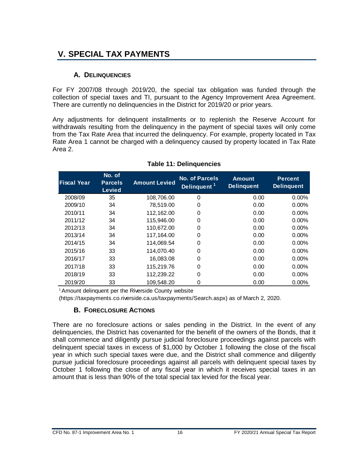## <span id="page-19-0"></span>**V. SPECIAL TAX PAYMENTS**

#### **A. DELINQUENCIES**

<span id="page-19-1"></span>For FY 2007/08 through 2019/20, the special tax obligation was funded through the collection of special taxes and TI, pursuant to the Agency Improvement Area Agreement. There are currently no delinquencies in the District for 2019/20 or prior years.

Any adjustments for delinquent installments or to replenish the Reserve Account for withdrawals resulting from the delinquency in the payment of special taxes will only come from the Tax Rate Area that incurred the delinquency. For example, property located in Tax Rate Area 1 cannot be charged with a delinquency caused by property located in Tax Rate Area 2.

<span id="page-19-3"></span>

| <b>Fiscal Year</b> | No. of<br><b>Parcels</b><br><b>Levied</b> | <b>Amount Levied</b> | No. of Parcels<br>Delinquent <sup>1</sup> | <b>Amount</b><br><b>Delinquent</b> | <b>Percent</b><br><b>Delinquent</b> |
|--------------------|-------------------------------------------|----------------------|-------------------------------------------|------------------------------------|-------------------------------------|
| 2008/09            | 35                                        | 108,706.00           | 0                                         | 0.00                               | $0.00\%$                            |
| 2009/10            | 34                                        | 78,519.00            | 0                                         | 0.00                               | $0.00\%$                            |
| 2010/11            | 34                                        | 112,162.00           | 0                                         | 0.00                               | $0.00\%$                            |
| 2011/12            | 34                                        | 115,946.00           | $\mathbf 0$                               | 0.00                               | $0.00\%$                            |
| 2012/13            | 34                                        | 110,672.00           | 0                                         | 0.00                               | $0.00\%$                            |
| 2013/14            | 34                                        | 117,164.00           | 0                                         | 0.00                               | $0.00\%$                            |
| 2014/15            | 34                                        | 114,069.54           | 0                                         | 0.00                               | $0.00\%$                            |
| 2015/16            | 33                                        | 114.070.40           | $\Omega$                                  | 0.00                               | $0.00\%$                            |
| 2016/17            | 33                                        | 16,083.08            | 0                                         | 0.00                               | $0.00\%$                            |
| 2017/18            | 33                                        | 115,219.76           | $\Omega$                                  | 0.00                               | $0.00\%$                            |
| 2018/19            | 33                                        | 112,239.22           | 0                                         | 0.00                               | $0.00\%$                            |
| 2019/20            | 33                                        | 109.548.20           | 0                                         | 0.00                               | 0.00%                               |

#### **Table 11: Delinquencies**

<sup>1</sup> Amount delinquent per the Riverside County website

<span id="page-19-2"></span>(https://taxpayments.co.riverside.ca.us/taxpayments/Search.aspx) as of March 2, 2020.

#### **B. FORECLOSURE ACTIONS**

There are no foreclosure actions or sales pending in the District. In the event of any delinquencies, the District has covenanted for the benefit of the owners of the Bonds, that it shall commence and diligently pursue judicial foreclosure proceedings against parcels with delinquent special taxes in excess of \$1,000 by October 1 following the close of the fiscal year in which such special taxes were due, and the District shall commence and diligently pursue judicial foreclosure proceedings against all parcels with delinquent special taxes by October 1 following the close of any fiscal year in which it receives special taxes in an amount that is less than 90% of the total special tax levied for the fiscal year.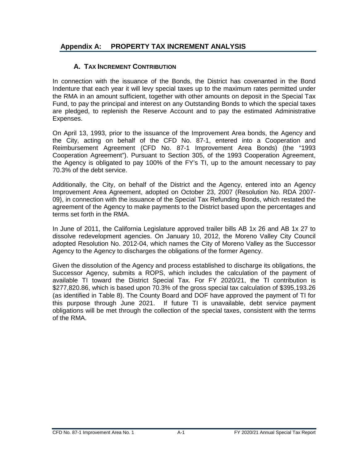#### <span id="page-20-1"></span>**Appendix A: PROPERTY TAX INCREMENT ANALYSIS**

#### <span id="page-20-0"></span>**A. TAX INCREMENT CONTRIBUTION**

In connection with the issuance of the Bonds, the District has covenanted in the Bond Indenture that each year it will levy special taxes up to the maximum rates permitted under the RMA in an amount sufficient, together with other amounts on deposit in the Special Tax Fund, to pay the principal and interest on any Outstanding Bonds to which the special taxes are pledged, to replenish the Reserve Account and to pay the estimated Administrative Expenses.

On April 13, 1993, prior to the issuance of the Improvement Area bonds, the Agency and the City, acting on behalf of the CFD No. 87-1, entered into a Cooperation and Reimbursement Agreement (CFD No. 87-1 Improvement Area Bonds) (the "1993 Cooperation Agreement"). Pursuant to Section 305, of the 1993 Cooperation Agreement, the Agency is obligated to pay 100% of the FY's TI, up to the amount necessary to pay 70.3% of the debt service.

Additionally, the City, on behalf of the District and the Agency, entered into an Agency Improvement Area Agreement, adopted on October 23, 2007 (Resolution No. RDA 2007- 09), in connection with the issuance of the Special Tax Refunding Bonds, which restated the agreement of the Agency to make payments to the District based upon the percentages and terms set forth in the RMA.

In June of 2011, the California Legislature approved trailer bills AB 1x 26 and AB 1x 27 to dissolve redevelopment agencies. On January 10, 2012, the Moreno Valley City Council adopted Resolution No. 2012-04, which names the City of Moreno Valley as the Successor Agency to the Agency to discharges the obligations of the former Agency.

Given the dissolution of the Agency and process established to discharge its obligations, the Successor Agency, submits a ROPS, which includes the calculation of the payment of available TI toward the District Special Tax. For FY 2020/21, the TI contribution is \$277,820.86, which is based upon 70.3% of the gross special tax calculation of \$395,193.26 (as identified in Table 8). The County Board and DOF have approved the payment of TI for this purpose through June 2021. If future TI is unavailable, debt service payment obligations will be met through the collection of the special taxes, consistent with the terms of the RMA.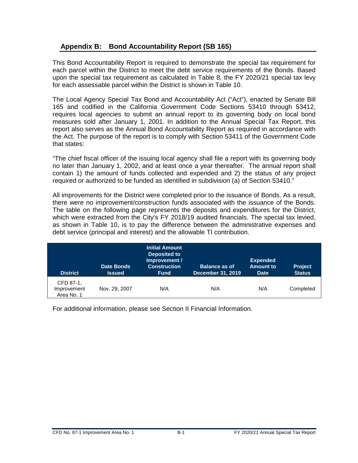#### <span id="page-21-0"></span>**Appendix B: Bond Accountability Report (SB 165)**

This Bond Accountability Report is required to demonstrate the special tax requirement for each parcel within the District to meet the debt service requirements of the Bonds. Based upon the special tax requirement as calculated in Table 8, the FY 2020/21 special tax levy for each assessable parcel within the District is shown in Table 10.

The Local Agency Special Tax Bond and Accountability Act ("Act"), enacted by Senate Bill 165 and codified in the California Government Code Sections 53410 through 53412, requires local agencies to submit an annual report to its governing body on local bond measures sold after January 1, 2001. In addition to the Annual Special Tax Report, this report also serves as the Annual Bond Accountability Report as required in accordance with the Act. The purpose of the report is to comply with Section 53411 of the Government Code that states:

"The chief fiscal officer of the issuing local agency shall file a report with its governing body no later than January 1, 2002, and at least once a year thereafter. The annual report shall contain 1) the amount of funds collected and expended and 2) the status of any project required or authorized to be funded as identified in subdivision (a) of Section 53410."

All improvements for the District were completed prior to the issuance of Bonds. As a result, there were no improvement/construction funds associated with the issuance of the Bonds. The table on the following page represents the deposits and expenditures for the District, which were extracted from the City's FY 2018/19 audited financials. The special tax levied, as shown in Table 10, is to pay the difference between the administrative expenses and debt service (principal and interest) and the allowable TI contribution.

| <b>District</b>                        | <b>Date Bonds</b><br><b>Issued</b> | <b>Initial Amount</b><br><b>Deposited to</b><br>Improvement /<br><b>Construction</b><br><b>Fund</b> | <b>Balance as of</b><br><b>December 31, 2019</b> | <b>Expended</b><br><b>Amount to</b><br><b>Date</b> | <b>Project</b><br><b>Status</b> |
|----------------------------------------|------------------------------------|-----------------------------------------------------------------------------------------------------|--------------------------------------------------|----------------------------------------------------|---------------------------------|
| CFD 87-1,<br>Improvement<br>Area No. 1 | Nov. 29, 2007                      | N/A                                                                                                 | N/A                                              | N/A                                                | Completed                       |

For additional information, please see Section II Financial Information.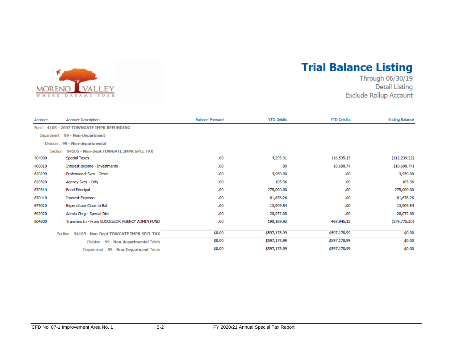

## **Trial Balance Listing**

Through 06/30/19 **Detail Listing** Exclude Rollup Account

| Account         | <b>Account Description</b>                        | <b>Balance Forward</b> | <b>YTD Debits</b> | <b>YTD Credits</b> | <b>Ending Balance</b> |  |  |  |  |
|-----------------|---------------------------------------------------|------------------------|-------------------|--------------------|-----------------------|--|--|--|--|
| <b>Fund</b>     | 4105 - 2007 TOWNGATE IMPR REFUNDING               |                        |                   |                    |                       |  |  |  |  |
|                 | Department 99 - Non-Department                    |                        |                   |                    |                       |  |  |  |  |
| <b>Division</b> | 99 - Non-departmental                             |                        |                   |                    |                       |  |  |  |  |
| Section         | 94105 - Non-Dept TOWGATE IMPR SPCL TAX            |                        |                   |                    |                       |  |  |  |  |
| 404000          | <b>Special Taxes</b>                              | .00                    | 4,295.91          | 116,535.13         | (112, 239.22)         |  |  |  |  |
| 460010          | Interest Income - Investments                     | .00                    | .00               | 10,698.74          | (10,698.74)           |  |  |  |  |
| 620299          | Professional Svcs - Other                         | .00                    | 3,950.00          | .00                | 3,950.00              |  |  |  |  |
| 620320          | Agency Svcs - Cnty                                | .00                    | 105.36            | .00                | 105.36                |  |  |  |  |
| 670314          | <b>Bond Principal</b>                             | .00                    | 275,000.00        | .00                | 275,000.00            |  |  |  |  |
| 670410          | <b>Interest Expense</b>                           | .00                    | 81,676.26         | .00.               | 81,676.26             |  |  |  |  |
| 679010          | Expenditure Close to Bal                          | .00                    | 13,909.54         | .00                | 13,909.54             |  |  |  |  |
| 692020          | Admin Chrg - Special Dist                         | .00                    | 28,072.00         | .00                | 28,072.00             |  |  |  |  |
| 804800          | Transfers In - From SUCCESSOR AGENCY ADMIN FUND   | .00                    | 190,169.92        | 469,945.12         | (279, 775.20)         |  |  |  |  |
|                 | 94105 - Non-Dept TOWGATE IMPR SPCL TAX<br>Section | \$0.00                 | \$597,178.99      | \$597,178.99       | \$0.00                |  |  |  |  |
|                 | 99 - Non-departmental Totals<br><b>Division</b>   | \$0.00                 | \$597,178.99      | \$597,178.99       | \$0.00                |  |  |  |  |
|                 | Department 99 - Non-Department Totals             | \$0.00                 | \$597,178.99      | \$597,178.99       | \$0.00                |  |  |  |  |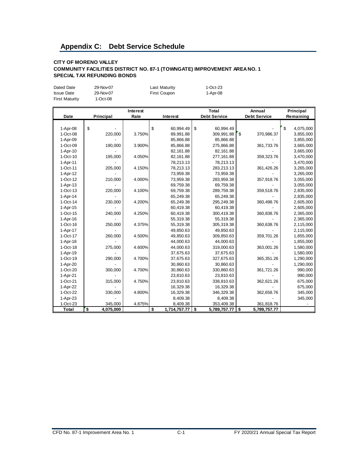#### <span id="page-23-0"></span>**Appendix C: Debt Service Schedule**

#### **CITY OF MORENO VALLEY COMMUNITY FACILITIES DISTRICT NO. 87-1 (TOWNGATE) IMPROVEMENT AREA NO. 1 SPECIAL TAX REFUNDING BONDS**

| Dated Date            | 29-Nov-07 | Last Maturity | 1-Oct-23 |
|-----------------------|-----------|---------------|----------|
| <b>Issue Date</b>     | 29-Nov-07 | First Coupon  | 1-Apr-08 |
| <b>First Maturity</b> | 1-Oct-08  |               |          |

|              |                 | Interest |                    | <b>Total</b>        | Annual              | Principal       |
|--------------|-----------------|----------|--------------------|---------------------|---------------------|-----------------|
| Date         | Principal       | Rate     | Interest           | <b>Debt Service</b> | <b>Debt Service</b> | Remaining       |
|              |                 |          |                    |                     |                     |                 |
| 1-Apr-08     | \$              |          | \$<br>60,994.49    | \$<br>60,994.49     |                     | \$<br>4,075,000 |
| 1-Oct-08     | 220,000         | 3.750%   | 89,991.88          | 309,991.88          | ه "<br>370,986.37   | 3,855,000       |
| 1-Apr-09     |                 |          | 85,866.88          | 85,866.88           |                     | 3,855,000       |
| 1-Oct-09     | 190,000         | 3.900%   | 85,866.88          | 275,866.88          | 361,733.76          | 3,665,000       |
| 1-Apr-10     |                 |          | 82,161.88          | 82,161.88           |                     | 3,665,000       |
| $1-Oct-10$   | 195,000         | 4.050%   | 82,161.88          | 277,161.88          | 359,323.76          | 3,470,000       |
| 1-Apr-11     |                 |          | 78,213.13          | 78,213.13           |                     | 3,470,000       |
| 1-Oct-11     | 205,000         | 4.150%   | 78,213.13          | 283,213.13          | 361,426.26          | 3,265,000       |
| 1-Apr-12     |                 |          | 73,959.38          | 73,959.38           |                     | 3,265,000       |
| $1-Oct-12$   | 210,000         | 4.000%   | 73,959.38          | 283,959.38          | 357,918.76          | 3,055,000       |
| $1-Apr-13$   |                 |          | 69,759.38          | 69,759.38           |                     | 3,055,000       |
| $1-Oct-13$   | 220,000         | 4.100%   | 69,759.38          | 289,759.38          | 359,518.76          | 2,835,000       |
| $1-Apr-14$   |                 |          | 65,249.38          | 65,249.38           |                     | 2,835,000       |
| $1-Oct-14$   | 230,000         | 4.200%   | 65,249.38          | 295,249.38          | 360,498.76          | 2,605,000       |
| 1-Apr-15     |                 |          | 60,419.38          | 60,419.38           |                     | 2,605,000       |
| $1-Oct-15$   | 240,000         | 4.250%   | 60,419.38          | 300,419.38          | 360,838.76          | 2,365,000       |
| 1-Apr-16     |                 |          | 55,319.38          | 55,319.38           |                     | 2,365,000       |
| $1-Oct-16$   | 250,000         | 4.375%   | 55,319.38          | 305,319.38          | 360,638.76          | 2,115,000       |
| 1-Apr-17     |                 |          | 49,850.63          | 49,850.63           |                     | 2,115,000       |
| 1-Oct-17     | 260,000         | 4.500%   | 49,850.63          | 309,850.63          | 359,701.26          | 1,855,000       |
| $1-Apr-18$   |                 |          | 44,000.63          | 44,000.63           |                     | 1,855,000       |
| $1-Oct-18$   | 275,000         | 4.600%   | 44,000.63          | 319,000.63          | 363,001.26          | 1,580,000       |
| 1-Apr-19     |                 |          | 37,675.63          | 37,675.63           |                     | 1,580,000       |
| $1-Oct-19$   | 290,000         | 4.700%   | 37,675.63          | 327,675.63          | 365, 351.26         | 1,290,000       |
| 1-Apr-20     |                 |          | 30,860.63          | 30,860.63           |                     | 1,290,000       |
| 1-Oct-20     | 300,000         | 4.700%   | 30,860.63          | 330,860.63          | 361,721.26          | 990,000         |
| 1-Apr-21     |                 |          | 23,810.63          | 23,810.63           |                     | 990,000         |
| 1-Oct-21     | 315,000         | 4.750%   | 23,810.63          | 338,810.63          | 362,621.26          | 675,000         |
| 1-Apr-22     |                 |          | 16,329.38          | 16,329.38           |                     | 675,000         |
| 1-Oct-22     | 330,000         | 4.800%   | 16,329.38          | 346,329.38          | 362,658.76          | 345,000         |
| 1-Apr-23     |                 |          | 8,409.38           | 8,409.38            |                     | 345,000         |
| $1-Oct-23$   | 345,000         | 4.875%   | 8,409.38           | 353,409.38          | 361,818.76          |                 |
| <b>Total</b> | \$<br>4,075,000 |          | \$<br>1,714,757.77 | \$<br>5,789,757.77  | \$<br>5,789,757.77  |                 |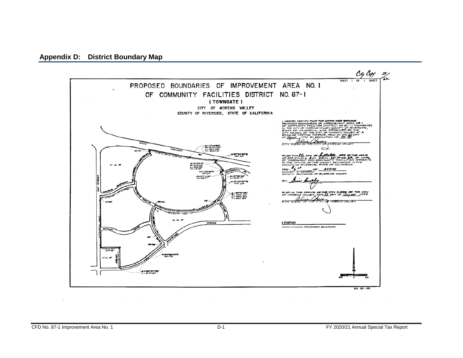<span id="page-24-0"></span>